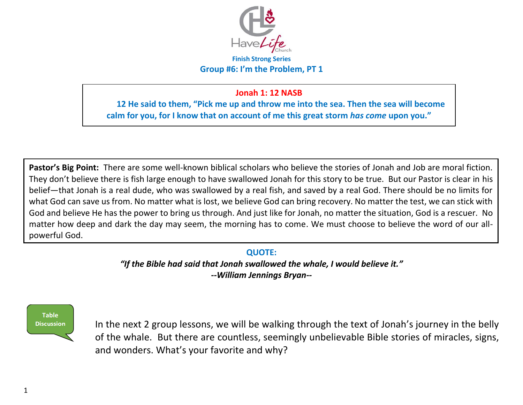

### **Finish Strong Series Group #6: I'm the Problem, PT 1**

## **Jonah 1: 12 NASB**

**12 He said to them, "Pick me up and throw me into the sea. Then the sea will become calm for you, for I know that on account of me this great storm** *has come* **upon you."** 

**Pastor's Big Point:** There are some well-known biblical scholars who believe the stories of Jonah and Job are moral fiction. They don't believe there is fish large enough to have swallowed Jonah for this story to be true. But our Pastor is clear in his belief—that Jonah is a real dude, who was swallowed by a real fish, and saved by a real God. There should be no limits for what God can save us from. No matter what is lost, we believe God can bring recovery. No matter the test, we can stick with God and believe He has the power to bring us through. And just like for Jonah, no matter the situation, God is a rescuer. No matter how deep and dark the day may seem, the morning has to come. We must choose to believe the word of our allpowerful God.

## **QUOTE:**

*"If the Bible had said that Jonah swallowed the whale, I would believe it." --William Jennings Bryan--* 



In the next 2 group lessons, we will be walking through the text of Jonah's journey in the belly of the whale. But there are countless, seemingly unbelievable Bible stories of miracles, signs, and wonders. What's your favorite and why?